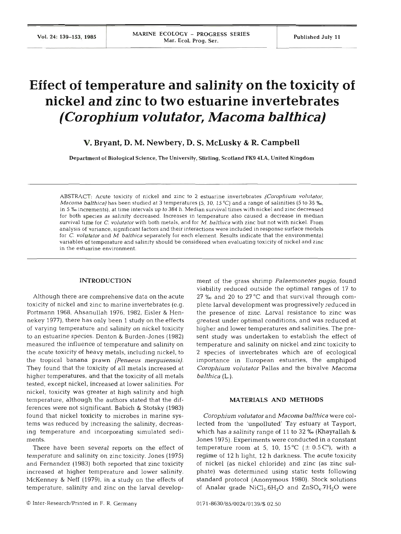# **Effect of temperature and salinity on the toxicity of nickel and zinc to two estuarine invertebrates**  *(Corophium v01 U ta tor, Ma coma balthica)*

**V. Bryant, D. M. Newbery, D. S. McLusky** & **R. Campbell** 

Department of Biological Science, The University, Stirling, Scotland **FK9 4LA,** United Kingdom

ABSTRACT: Acute toxicity of nickel and zinc to 2 estuarine invertebrates (Corophium volutator, Macoma balthica) has been studied at **3** temperatures (5, **10, 15°C)** and a range of salinities (5 to **35** %, in 5  $\%$  increments), at time intervals up to 384 h. Median survival times with nickel and zinc decreased for both species as salinity decreased. Increases in temperature also caused a decrease in median survival time for C. volutator with both metals, and for M. balthica with zinc but not with nickel. From analysis of variance, significant factors and their interactions were included in response surface models for C. volutator and M. balthica separately for each element. Results indicate that the environmental variables of temperature and salinity should be considered when evaluating toxicity of nickel and zinc in the estuarine environmen

# **INTRODUCTION**

Although there are comprehensive data on the acute toxicity of nickel and zinc to marine invertebrates (e.g. Portmann 1968, Ahsanullah 1976, 1982, Eisler & Hennekey 1977), there has only been 1 study on the effects of varying temperature and salinity on nickel toxicity to an estuarine species. Denton & Burden-Jones (1982) measured the influence of temperature and salinity on the acute toxicity of heavy metals, including nickel, to the tropical banana prawn *(Penaeus merguiensis).*  They found that the toxicity of all metals increased at higher temperatures, and that the toxicity of all metals tested, except nickel, increased at lower salinities. For nickel, toxicity was greater at high salinity and high temperature, although the authors stated that the differences were not significant. Babich & Stotsky (1983) found that nickel toxicity to microbes in marine systems was reduced by increasing the salinity, decreasing temperature and incorporating simulated sediments.

There have been several reports on the effect of temperature and salinity on zinc toxicity. Jones (1975) and Fernandez (1983) both reported that zinc toxicity increased at higher temperature and lower salinity. McKenney & Neff (1979), in a study on the effects of temperature, salinity and zinc on the larval development of the grass shrimp *Palaernonetes pugio,* found viability reduced outside the optimal ranges of 17 to 27  $\%$  and 20 to 27 °C and that survival through complete larval development was progressively reduced in the presence of zinc. Larval resistance to zinc was greatest under optimal conditions, and was reduced at higher and lower temperatures and salinities. The present study was undertaken to establish the effect of temperature and salinity on nickel and zinc toxicity to 2 species of invertebrates which are of ecological importance in European estuaries, the amphipod *Corophiurn volutator* Pallas and the bivalve *Macoma balthica* (L.).

## **MATERIALS AND METHODS**

*Corophium volutator* and *Macoma balthica* were collected from the 'unpolluted' Tay estuary at Tayport, which has a salinity range of **11** to 32 **%o** (Khayrallah & Jones 1975). Experiments were conducted in a constant temperature room at 5, 10, 15<sup>o</sup>C ( $\pm$  0.5<sup>co</sup>), with a regime of 12 h light, 12 h darkness. The acute toxicity of nickel (as nickel chloride) and zinc (as zinc sulphate) was determined using static tests following standard protocol (Anonymous 1980). Stock solutions of Analar grade  $NiCl<sub>2</sub>.6H<sub>2</sub>O$  and  $ZnSO<sub>4</sub>.7H<sub>2</sub>O$  were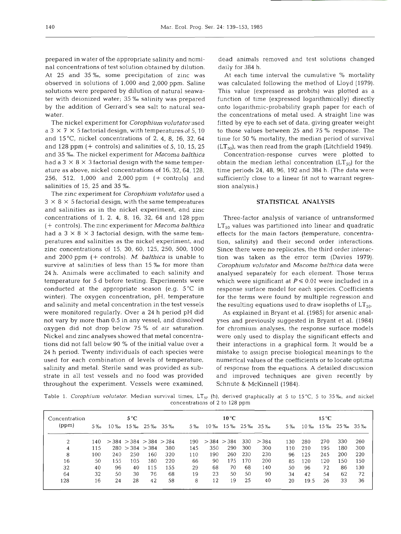prepared in water of the appropriate salinity and nominal concentrations of test solution obtained by dilution. At 25 and 35 ‰, some precipitation of zinc was observed in solutions of 1,000 and 2,000 ppm. Saline solutions were prepared by dilution of natural seawater with deionized water; 35 **%o** salinity was prepared by the addition of Gerrard's sea salt to natural seawater.

The nickel experiment for *Corophium* volutatorused a 3  $\times$  7  $\times$  5 factorial design, with temperatures of 5, 10 and 15"C, nickel concentrations of 2, 4, 8, 16, 32, 64 and  $128$  ppm ( $+$  controls) and salinities of 5, 10, 15, 25 and 35 **%o.** The nickel experiment for *Macoma balthica*  had a 3 **X** 8 **X** 3 factorial design with the same temperature as above, nickel concentrations of 16,32,64, 128, 256, 512, 1,000 and 2,000 pprn (+ controls) and salinities of 15, 25 and 35 ‰.

The zinc experiment for *Corophium volutator* used a  $3 \times 8 \times 5$  factorial design, with the same temperatures and salinities as in the nickel experiment, and zinc concentrations of 1, 2, 4, 8, 16, 32, 64 and 128 pprn (+ controls). The zinc experiment for *Macoma balthica*  had a  $3 \times 8 \times 3$  factorial design, with the same temperatures and salinities as the nickel experiment, and zinc concentrations of 15, 30, 60, 125, 250, 500, 1000 and 2000 pprn (+ controls). M. *balthica* is unable to survive at salinities of less than 15 % for more than 24 h. Animals were acclimated to each salinity and temperature for 5 d before testing. Experiments were conducted at the appropriate season (e.g. 5°C in winter). The oxygen concentration, pH, temperature and salinity and metal concentration in the test vessels were monitored regularly. Over a 24 h period pH did not vary by more than 0.5 in any vessel, and dissolved oxygen did not drop below 75 % of air saturation. Nickel and zinc analyses showed that metal concentrations did not fall below 90 % of the initial value over a 24 h period. Twenty individuals of each species were used for each combination of levels of temperature, salinity and metal. Sterile sand was provided as substrate in all test vessels and no food was provided throughout the experiment. Vessels were examined,

dead animals removed and test solutions changed daily for 384 h.

At each time interval the cumulative % mortality was calculated following the method of Lloyd (1979). This value (expressed as probits) was plotted as a function of time (expressed logarithmically) directly onto logarithmic-probability graph paper for each of the concentrations of metal used. A straight line was fitted by eye to each set of data, giving greater weight to those values between 25 and 75 % response. The time for 50 % mortality, the median period of survival  $(LT_{50})$ , was then read from the graph (Litchfield 1949).

Concentration-response curves were plotted to obtain the median lethal concentration  $(LT_{50})$  for the time periods 24, 48, 96, 192 and 384 h. (The data were sufficiently close to a linear fit not to warrant regression analysis.)

## **STATISTICAL ANALYSIS**

Three-factor analysis of variance of untransformed  $LT_{50}$  values was partitioned into linear and quadratic effects for the main factors (temperature, concentration, salinity) and their second order interactions. Since there were no replicates, the third order interaction was taken as the error term (Davies 1979). *Corophium volutator* and *Macoma balthica* data were analysed separately for each element. Those terms which were significant at  $P \leq 0.01$  were included in a response surface model for each species. Coefficients for the terms were found by multiple regression and the resulting equations used to draw isopleths of  $LT_{50}$ .

As explained in Bryant et al. (1985) for arsenic analyses and previously suggested in Bryant et al. (1984) for chromium analyses, the response surface models were only used to display the significant effects and their interactions in a graphical form. It would be a mistake to assign precise biological meanings to the numerical values of the coefficients or to locate optima of response from the equations. **A** detailed discussion and improved techniques are given recently by Schnute & McKinne11 (1984).

Table 1. **Corophiurn volutator.** Median survival times. **LTSo**  (h), derived graphically at 5 to 15°C. 5 to 35%0, and nickel ntrations of 2 to 128 ppm

| Concentration |       | $5^{\circ}$ C |                 |                                 |     | $10^{\circ}$ C |     |                             |     | $15^{\circ}$ C |       |        |        |            |     |
|---------------|-------|---------------|-----------------|---------------------------------|-----|----------------|-----|-----------------------------|-----|----------------|-------|--------|--------|------------|-----|
| (ppm)         | $5\%$ | $10\%$        |                 | $15\%$ $25\%$ $35\%$            |     | 5 ‰            |     | $10\%$ $15\%$ $25\%$ $35\%$ |     |                | $5\%$ | $10\%$ | $15\%$ | $25\%$ 35% |     |
| 2             | 140   |               |                 | $>$ 384 $>$ 384 $>$ 384 $>$ 384 |     | 190            |     | $>384$ $>384$               | 330 | > 384          | 130   | 280    | 270    | 330        | 260 |
| 4             | 115   |               | 280 > 384 > 384 |                                 | 380 | 145            | 350 | 290                         | 300 | 300            | 110   | 210    | 195    | 180        | 300 |
| 8             | 100   | 240           | 250             | 160                             | 320 | 110            | 190 | 260                         | 230 | 230            | 96    | 125    | 245    | 200        | 220 |
| 16            | 50    | 155           | 105             | 180                             | 220 | 66             | 90  | 175                         | 170 | 200            | 85    | 120    | 120    | 150        | 150 |
| 32            | 40    | 96            | 40              | 115                             | 155 | 29             | 68  | 70                          | 68  | 140            | 50    | 96     | 72     | 86         | 130 |
| 64            | 32    | 50            | 30              | 76                              | 68  | 19             | 23  | 50                          | 50  | 90             | 34    | 42     | 54     | 62         | 72  |
| 128           | 16    | 24            | 28              | 42                              | 58  | 8              | 12  | 19                          | 25  | 40             | 20    | 19.5   | 26     | 33         | 36  |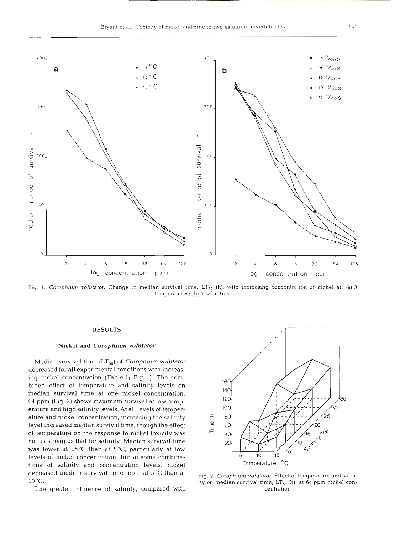

Fig. 1. *Corophium volutator*. Change in median survival time, LT<sub>50</sub> (h), with increasing concentration of nickel at: (a) 3 temperatures; (b) 5 salinities

## **RESULTS**

### Nickel **and Corophium** *volutator*

Median survival time (LT<sub>50</sub>) of *Corophium volutator* decreased for all experimental conditions with increasing nickel concentration (Table 1; Fig. 1). The com-<br>160 bined effect of temperature and salinity levels on the contract of the same of the contract of the 140 median survival time at one nickel concentration,  $\frac{140}{120}$ 64 ppm (Fig. **2)** shows maximum survival at low temperature and high salinity levels. At all levels of temper-<br>ature and nightel concentration, increasing the solinity ature and nickel concentration, increasing the salinity<br>level increased median survival time, though the effect  $\begin{bmatrix} 2 & 60 \\ 2 & 60 \end{bmatrix}$ <br>of temperature on the response to nickel toxicity was level increased median survival time, though the effect of temperature on the response to nickel toxicity was  $\overline{P}$  = 40 not as strong as that for salinity. Median survival time was lower at  $15^{\circ}$ C than at  $5^{\circ}$ C, particularly at low levels of nickel concentration, but at some combinations of salinity and concentration levels, nickel decreased median survival time more at 5 *OC* than at 10°C.

The greater influence of salinity, compared with



p*hium volutator.* Effect of temperature and salinity on median survival time,  $LT_{50}$  (h), at 64 ppm nickel concentration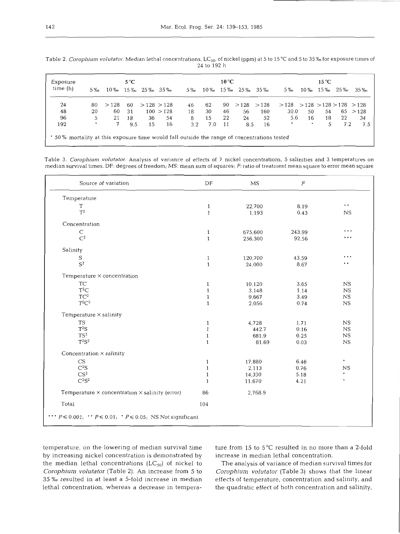| Exposure<br>time(h) | $5\%$ |      |     | $10\%$ $15\%$ $25\%$ $35\%$ |           | $5\%$ |     |    | $10\%$ $15\%$ $25\%$ $35\%$ |      | $5\%$                              |    |    |     | 10\% 15\% 25\% 35\% |
|---------------------|-------|------|-----|-----------------------------|-----------|-------|-----|----|-----------------------------|------|------------------------------------|----|----|-----|---------------------|
| 24                  | 80    | >128 | 60  | $>128$ > 128                |           | 46    | 62  | 90 | >128                        | >128 | $>128$ $>128$ $>128$ $>128$ $>128$ |    |    |     |                     |
| 48                  | 20    | 60   | 31  |                             | 100 > 128 | 18    | 30  | 46 | 56                          | 160  | 30.0                               | 50 | 54 |     | 65 > 128            |
| 96                  | 5     | 21   | 18  | 36                          | -54       | 8     | 15  | 22 | 24                          | 52   | 5.6                                | 16 | 18 | 22  | 34                  |
| 192                 | ٠     |      | 9.5 | 15                          | 16        | 3.2   | 7.0 | 11 | 8.5                         | 16   | ٠                                  | ٠  | 5  | 7.2 | 7.5                 |

Table 2. *Corophium volutator.* Median lethal concentrations, LC<sub>50</sub>, of nickel (ppm) at 5 to 15 °C and 5 to 35 % for exposure times of 24 to 192 h

Table 3. *Corophium volutator.* Analysis of variance of effects of 7 nickel concentrations, 5 salinities and 3 temperatures on median survival times. DF: degrees of freedom; MS: mean sum of squares; F: ratio of treatment mean square to error mean square

| Source of variation                                                                        | DF           | MS      | $\boldsymbol{F}$ |             |
|--------------------------------------------------------------------------------------------|--------------|---------|------------------|-------------|
| Temperature                                                                                |              |         |                  |             |
| T                                                                                          | $\mathbf{1}$ | 22,700  | 8.19             | . .         |
| $T^2$                                                                                      | $\mathbf{1}$ | 1,193   | 0.43             | <b>NS</b>   |
| Concentration                                                                              |              |         |                  |             |
| C                                                                                          | $\mathbf{1}$ | 675,600 | 243.99           | .           |
| $\mathbb{C}^2$                                                                             | $\mathbf{1}$ | 256,300 | 92.56            | .           |
| Salinity                                                                                   |              |         |                  |             |
| S                                                                                          | $\mathbf{1}$ | 120,700 | 43.59            | .           |
| $\mathbf{S}^2$                                                                             | $\mathbf{1}$ | 24,000  | 8.67             | . .         |
| Temperature × concentration                                                                |              |         |                  |             |
| TC                                                                                         | $\mathbf{1}$ | 10,120  | 3.65             | $_{\rm NS}$ |
| $T^2C$                                                                                     | $\mathbf{1}$ | 3,148   | 1.14             | $_{\rm NS}$ |
| $TC^2$                                                                                     | $\mathbf{1}$ | 9,667   | 3.49             | $_{NS}$     |
| $T^2C^2$                                                                                   | $\mathbf{1}$ | 2,056   | 0.74             | $_{\rm NS}$ |
| Temperature $\times$ salinity                                                              |              |         |                  |             |
| <b>TS</b>                                                                                  | $\mathbf{1}$ | 4,728   | 1.71             | $_{\rm NS}$ |
| $T^2S$                                                                                     | $\mathbf{1}$ | 442.7   | 0.16             | <b>NS</b>   |
| TS <sup>2</sup>                                                                            | $\mathbf{1}$ | 681.9   | 0.25             | $_{\rm NS}$ |
| $T^2S^2$                                                                                   | $\mathbf{1}$ | 81.69   | 0.03             | <b>NS</b>   |
| Concentration $\times$ salinity                                                            |              |         |                  |             |
| CS                                                                                         | $\mathbf{1}$ | 17,880  | 6.46             | ٠           |
| C <sup>2</sup> S                                                                           | $\mathbf{1}$ | 2,113   | 0.76             | $_{\rm NS}$ |
| CS <sup>2</sup>                                                                            | $\mathbf{1}$ | 14,330  | 5.18             | $\bullet$   |
| $C^2S^2$                                                                                   | $\mathbf{1}$ | 11,670  | 4.21             | ٠           |
| Temperature $\times$ concentration $\times$ salinity (error)                               | 86           | 2,768.9 |                  |             |
| Total                                                                                      | 104          |         |                  |             |
| $\cdots$ $P \le 0.001$ ; $\cdots$ $P \le 0.01$ ; $\cdot$ $P \le 0.05$ ; NS Not significant |              |         |                  |             |
|                                                                                            |              |         |                  |             |

temperature, on the lowering of median survival time ture from 15 to  $5^{\circ}$ C resulted in no more than a 2-fold by increasing nickel concentration is demonstrated by increase in median lethal concentration. the median lethal concentrations  $(LC_{50})$  of nickel to The analysis of variance of median survival times for *Corophium volutator* (Table **2).** An increase from 5 to *Corophium volutator* (Table *3)* shows that the linear 35 % resulted in at least a 5-fold increase in median effects of temperature, concentration and salinity, and lethal concentration, whereas a decrease in tempera- the quadratic effect of both concentration and salinity,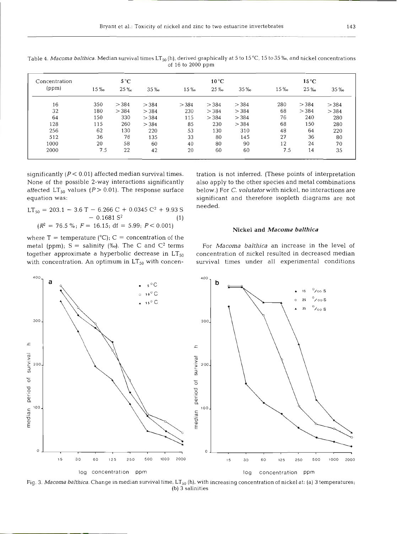| Concentration | $5^{\circ}$ C |      |        |       | $10^{\circ}$ C |       | $15^{\circ}$ C |       |       |
|---------------|---------------|------|--------|-------|----------------|-------|----------------|-------|-------|
| (ppm)         | 15%           | 25 ‰ | $35\%$ | 15 ‰  | 25%            | 35%   | 15 ‰           | 25 ‰  | 35%   |
| 16            | 350           | >384 | > 384  | > 384 | > 384          | > 384 | 280            | > 384 | >384  |
| 32            | 180           | >384 | > 384  | 230   | > 384          | > 384 | 68             | > 384 | > 384 |
| 64            | 150           | 330  | >384   | 115   | > 384          | > 384 | 76             | 240   | 280   |
| 128           | 115           | 260  | > 384  | 85    | 230            | > 384 | 68             | 150   | 280   |
| 256           | 62            | 130  | 220    | 53    | 130            | 310   | 48             | 64    | 220   |
| 512           | 36            | 76   | 135    | 33    | 80             | 145   | 27             | 36    | 80    |
| 1000          | 20            | 58   | 60     | 40    | 80             | 90    | 12             | 24    | 70    |
| 2000          | 7.5           | 22   | 42     | 20    | 60             | 60    | 7.5            | 14    | 35    |

Table 4. *Macoma balthica*. Median survival times LT<sub>50</sub> (h), derived graphically at 5 to 15 °C, 15 to 35 ‰, and nickel concentrations of 16 to 2000 ppm

significantly  $(P < 0.01)$  affected median survival times. tration is not inferred. (These points of interpretation

LT<sub>50</sub> = 203.1 - 3.6 T - 6.266 C + 0.0345 C<sup>2</sup> + 9.93 S  
- 0.1681 S<sup>2</sup> (1)  
(
$$
R^2
$$
 = 76.5 %;  $F$  = 16.15; df = 5.99;  $P$  < 0.001)

where  $T =$  temperature (°C);  $C =$  concentration of the metal (ppm);  $S =$  salinity  $\%$ <sub>0</sub>). The C and C<sup>2</sup> terms For *Macoma balthica* an increase in the level of

None of the possible 2-way interactions significantly also apply to the other species and metal combinations affected LT<sub>50</sub> values ( $P > 0.01$ ). The response surface below.) For C. volutator with nickel, no interactions are equation was: significant and therefore isopleth diagrams are not

## (R2 = 76.5 %; F= 16.15; df = 5.99; P< 0.001) **Nickel and** *Macoma balthica*

together approximate a hyperbolic decrease in  $LT_{50}$  concentration of nickel resulted in decreased median with concentration. An optimum in  $LT_{50}$  with concen- survival times under all experimental conditions



Fig. 3. *Macoma balthica.* Change in median survival time, LT<sub>50</sub> (h), with increasing concentration of nickel at: (a) 3 temperatures; (b) 3 salinities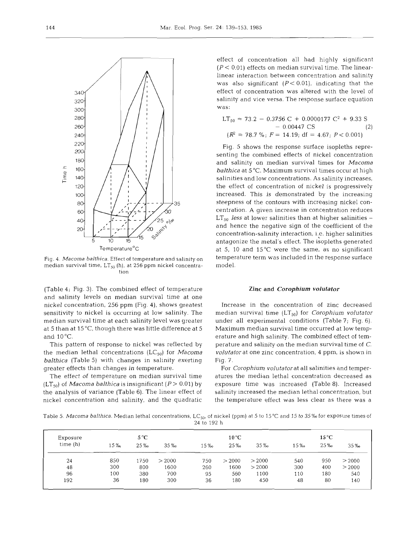

median survival time, LT<sub>50</sub> (h), at 256 ppm nickel concentra- model. tion

(Table 4; Fig. *3).* The combined effect of temperature and salinity levels on median survival time at one nickel concentration, 256 ppm (Fig. 4), shows greatest sensitivity to nickel is occurring at low salinity. The median survival time at each salinity level was greater at 5 than at 15 "C, though there was little difference at 5 and 10°C.

This pattern of response to nickel was reflected by the median lethal concentrations (LC<sub>50</sub>) for *Macoma balthica* (Table 5) with changes in salinity exerting greater effects than changes in temperature.

The effect of temperature on median survival time  $(LT_{50})$  of *Macoma balthica* is insignificant  $(P > 0.01)$  by the analysis of variance (Table 6). The linear effect of nickel concentration and salinity, and the quadratic

effect of concentration all had highly significant  $(P < 0.01)$  effects on median survival time. The linearlinear interaction between concentration and salinity was also significant ( $P < 0.01$ ), indicating that the effect of concentration was altered with the level of salinity and vice versa. The response surface equation  $\begin{array}{ccc} \text{30}\end{array}$   $\begin{array}{ccc} \text{30}\end{array}$   $\begin{array}{ccc} \text{30}\end{array}$   $\begin{array}{ccc} \text{31}\end{array}$   $\begin{array}{ccc} \text{32}\end{array}$   $\begin{array}{ccc} \text{33}\end{array}$   $\begin{array}{ccc} \text{34}\end{array}$   $\begin{array}{ccc} \text{35}\end{array}$   $\begin{array}{ccc} \text{36}\end{array}$   $\begin{array}{ccc} \text{37}\end{array}$   $\begin{array}{ccc} \text{38}\end{array}$ 

$$
LT_{50} = 73.2 - 0.3756 C + 0.0000177 C2 + 9.33 S- 0.00447 CS(R2 = 78.7 %; F = 14.19; df = 4.67; P < 0.001)
$$

Fig. 5 shows the response surface isopleths representing the combined effects of nickel concentration and salinity on median survival times for *Macoma balthica* at 5 "C. Maximum survival times occur at high salinities and low concentrations. As salinity increases, the effect of concentration of nickel is progressively increased. This is demonstrated by the increasing **35** steepness of the contours with increasing nickel concentration. **A** given increase in concentration reduces  $LT_{50}$  *less* at lower salinities than at higher salinities and hence the negative sign of the coefficient of the concentration-salinity interaction, i;e. higher salinities antagonize the metal's effect. The isopleths generated Temperature $^{\circ}$ C at 5, 10 and 15 $^{\circ}$ C were the same, as no significant **Fig.** *4. Macoma balthica.* Effect of temperature and salinity on temperature term was included in the response surface

#### **Zinc and** *Corophium volutator*

Increase in the concentration of zinc decreased median survival time (LT<sub>50</sub>) for *Corophium volutator* under all experimental conditions (Table 7; Fig. 6). Maximum median survival time occurred at low temperature and high salinity. The combined effect of temperature and salinity on the median survival time of C. *volutator* at one zinc concentration, **4** ppm, is shown in Fig. 7.

For *Corophium volutatorat* all salinities and temperatures the median lethal concentration decreased as exposure time was increased (Table 8). Increased salinity increased the median lethal concentration, but the temperature effect was less clear as there was a

Table 5. Macoma balthica. Median lethal concentrations, LC<sub>50</sub>, of nickel (ppm) at 5 to 15 °C and 15 to 35 % for exposure times of 24 to *192* h

| Exposure |      | $5^{\circ}$ C |        |     | $10^{\circ}$ C |        |        | $15^{\circ}$ C |        |
|----------|------|---------------|--------|-----|----------------|--------|--------|----------------|--------|
| time (h) | 15 ‰ | 25 ‰          | 35 ‰   | 15‰ | 25 ‰           | 35%    | $15\%$ | 25 ‰           | 35%    |
| 24       | 850  | 1750          | > 2000 | 750 | > 2000         | > 2000 | 540    | 950            | > 2000 |
| 48       | 300  | 800           | 1600   | 260 | 1600           | > 2000 | 300    | 400            | > 2000 |
| 96       | 100  | 380           | 700    | 95  | 560            | 1100   | 110    | 180            | 540    |
| 192      | 36   | 180           | 300    | 36  | 180            | 450    | 48     | 80             | 140    |

340 320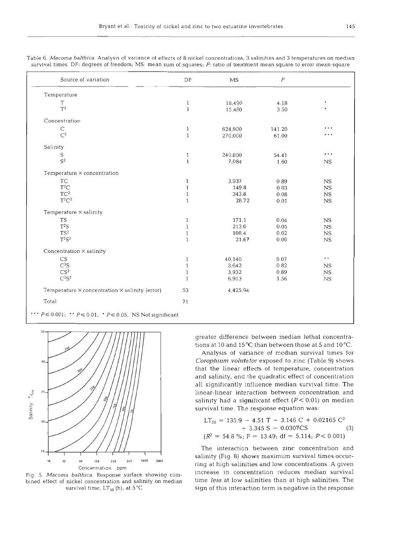| Source of variation                                          | DF           | MS       | $\cal F$ |             |
|--------------------------------------------------------------|--------------|----------|----------|-------------|
| Temperature                                                  |              |          |          |             |
| T                                                            | $\mathbf{1}$ | 18,490   | 4.18     |             |
| $T^2$                                                        | $\mathbf{1}$ | 15,480   | 3.50     |             |
| Concentration                                                |              |          |          |             |
| C                                                            | $\mathbf{1}$ | 624,900  | 141.20   |             |
| $C^2$                                                        | $\mathbf{1}$ | 270,000  | 61.00    |             |
| Salinity                                                     |              |          |          |             |
| $\mathbf S$                                                  | $\mathbf{1}$ | 240,800  | 54.41    | $\cdots$    |
| $S^2$                                                        | $\mathbf{1}$ | 7,084    | 1.60     | <b>NS</b>   |
| $Temperature \times concentration$                           |              |          |          |             |
| <b>TC</b>                                                    | $\mathbf{1}$ | 3,937    | 0.89     | $_{\rm NS}$ |
| $T^2C$                                                       | 1            | 149.8    | 0.03     | $_{\rm NS}$ |
| $TC^2$                                                       | 1            | 343.8    | 0.08     | $_{\rm NS}$ |
| $T^2C^2$                                                     | $\mathbf{1}$ | 28.72    | 0.01     | $_{\rm NS}$ |
| Temperature $\times$ salinity                                |              |          |          |             |
| <b>TS</b>                                                    | $\mathbf{1}$ | 171.1    | 0.04     | NS          |
| $T^2S$                                                       | 1            | 213.0    | 0.05     | <b>NS</b>   |
| TS <sup>2</sup>                                              | $\mathbf{1}$ | 108.4    | 0.02     | $_{\rm NS}$ |
| $T^2S^2$                                                     | 1            | 21.67    | 0.00     | NS          |
| Concentration × salinity                                     |              |          |          |             |
| $\mathbb{C}\mathsf{S}$                                       | $\mathbf{1}$ | 40,140   | 9.07     | $\cdot$ .   |
| C <sup>2</sup> S                                             | $\mathbf{1}$ | 3,642    | 0.82     | $_{\rm NS}$ |
| $CS^2$                                                       | $\mathbf{1}$ | 3,932    | 0.89     | $_{\rm NS}$ |
| $C^2S^2$                                                     | $\mathbf{1}$ | 6,913    | 1.56     | NS          |
| Temperature $\times$ concentration $\times$ salinity (error) | 53           | 4,425.94 |          |             |
| Total                                                        | 71           |          |          |             |

Table 6. Macoma balthica. Analysis of variance of effects of 8 nickel concentrations, 3 salinities and 3 temperatures on median survival times. DF: degrees of freedom; MS: mean sum of squares;  $F$ : ratio of treatment mean square to error mean square



bined effect of nickel concentration and salinity on median survival time,  $LT_{50}$  (h), at 5<sup>°</sup>C

greater difference between median lethal concentrations at 10 and 15°C than between those at 5 and 10°C.

Analysis of variance of median survival times for **Corophiurn** volutator exposed to zinc (Table 9) shows that the linear effects of temperature, concentration and salinity, and the quadratic effect of concentration all significantly influence median survival time. The linear-linear interaction between concentration and salinity had a significant effect  $(P < 0.01)$  on median survival time. The response equation was:

$$
LT_{50} = 135.9 - 4.51 T - 3.146 C + 0.02165 C2
$$
  
+ 3.345 S - 0.0307CS (3)  

$$
(R2 = 54.8 %; F = 13.49; df = 5.114; P < 0.001)
$$

The interaction between zinc concentration salinity (Fig. 8) shows maximum survival times occur-16 16 128 16 128 15 16 1000 1000 1000 1000 *ing at high salinities and low concentrations.* **A given**<br>Concentration ppm **increase in concentration reduces median survival** Fig. 5. *Macoma balthica*, Response surface showing com-<br>bined effect of nickel concentration and salinity on median time *less* at low salinities than at high salinities. The sign of this interaction term is negative in the response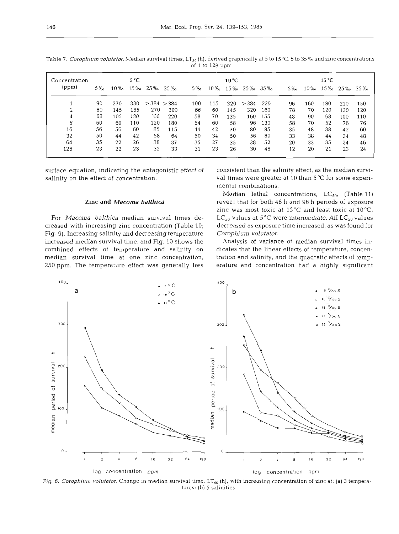| Concentration |       |     | $5^{\circ}$ C |              |        |     |     | $10^{\circ}$ C |               |     |    |        | $15^{\circ}$ C |     |      |
|---------------|-------|-----|---------------|--------------|--------|-----|-----|----------------|---------------|-----|----|--------|----------------|-----|------|
| (ppm)         | $5\%$ | 10% | $15\%$        | 25‰          | $35\%$ | 5%  | 10% | 15%            | $25\%$ $35\%$ |     | 5% | $10\%$ | $15\%$         | 25% | 35 ‰ |
|               | 90    | 270 | 330           | $>384$ > 384 |        | 100 | 115 | 320            | > 384         | 220 | 96 | 160    | 180            | 210 | 150  |
| 2             | 80    | 145 | 165           | 270          | 300    | 66  | 60  | 145            | 320           | 160 | 78 | 70     | 120            | 130 | 120  |
| 4             | 68    | 105 | 120           | 160          | 220    | 58  | 70  | 135            | 160           | 155 | 48 | 90     | 68             | 100 | 110  |
| 8             | 60    | 60  | 110           | 120          | 180    | 54  | 60  | 58             | 96            | 130 | 58 | 70     | 52             | 76  | 76   |
| 16            | 56    | 56  | 60            | 85           | 115    | 44  | 42  | 70             | 80            | 85  | 35 | 48     | 38             | 42  | 60   |
| 32            | 50    | 44  | 42            | 58           | 64     | 50  | 34  | 50             | 56            | -80 | 33 | 38     | 44             | 34  | 48   |
| 64            | 35    | 22  | 26            | 38           | 37     | 35  | 27  | 35             | 38            | -52 | 20 | 33     | 35             | 24  | 46   |
| 128           | 23    | 22  | 23            | 32           | 33     | 31  | 23  | 26             | 30            | 48  | 12 | 20     | 21             | 23  | 24   |

Table 7. *Corophium volutator.* Median survival times, LT<sub>50</sub> (h), derived graphically at 5 to 15 °C, 5 to 35 ‰ and zinc concentrations of 1 to 128 ppm

surface equation, indicating the antagonistic effect of salinity on the effect of concentration.

### **Zinc** and *Macoma balthica*

For *Macoma balthica* median survival times decreased with increasing zinc concentration (Table 10; Fig. 9). Increasing salinity and decreasing temperature increased median survival time, and Fig. 10 shows the combined effects of temperature and salinity on median survival time at one zinc concentration, 250 ppm. The temperature effect was generally less

consistent than the salinity effect, as the median survival times were greater at 10 than 5 °C for some experimental combinations.

Median lethal concentrations,  $LC_{50}$ , (Table 11) reveal that for both 48 h and 96 h periods of exposure zinc was most toxic at 15 °C and least toxic at 10 °C;  $LC_{50}$  values at 5°C were intermediate. All  $LC_{50}$  values decreased as exposure time increased, as was found for *Corophium voluta tor.* 

Analysis of variance of median survival times indicates that the linear effects of temperature, concentration and salinity, and the quadratic effects of temperature and concentration had a highly significant



Fig. 6. *Corophium volutator*. Change in median survival time, LT<sub>50</sub> (h), with increasing concentration of zinc at: (a) 3 temperatures; (b) 5 salinities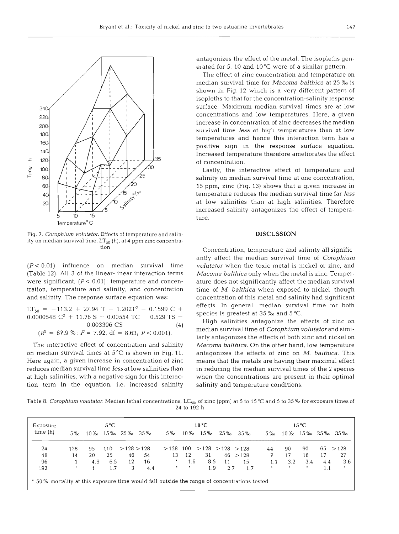

Fig. 7. *Corophium volutator.* Effects of temperature and salinity on median survival time,  $LT_{50}$  (h), at 4 ppm zinc concentration

 $(P < 0.01)$  influence on median survival time (Table 12). All 3 of the linear-linear interaction terms were significant,  $(P < 0.01)$ : temperature and concentration, temperature and salinity, and concentration and salinity. The response surface equation was:

0.0000548  $C^2$  + 11.76 S + 0.00554 TC - 0.529 TS - species is greatest at 35 % and 5 °C.<br>High salinities antagonize the effects of zinc on

tion term in the equation, i.e. increased salinity salinity and temperature conditions.

antagonizes the effect of the metal. The isopleths generated for 5, 10 and 10°C were of a similar pattern.

The effect of zinc concentration and temperature on median survival time for *Macoma balthica* at 25 % is shown in Fig. 12 which is a very different pattern of isopleths to that for the concentration-salinity response  $240$ ,  $240$ ,  $240$ ,  $240$ ,  $240$ ,  $240$ ,  $240$ ,  $240$ ,  $240$ ,  $240$ ,  $240$ ,  $240$ ,  $240$ ,  $240$ ,  $240$ ,  $240$ ,  $240$ ,  $240$ ,  $240$ ,  $240$ ,  $240$ ,  $240$ ,  $240$ ,  $240$ ,  $240$ ,  $240$ ,  $240$ ,  $240$ ,  $240$ ,  $240$ ,  $240$ ,  $240$  $220$   $\left(\begin{array}{c} \end{array}\right)$   $\left(\begin{array}{c} \end{array}\right)$  concentrations and low temperatures. Here, a given 200- increase in concentration of zinc decreases the median survival time *less* at high temperatures than at low temperatures and hence this interaction term has a positive sign in the response surface equation.<br>
140. Increased temperature therefore ameliorates the effect<br>
120.

80.  $\sqrt{1 + \sqrt{25}}$  salinity on median survival time at one concentration, 60<br>  $\begin{bmatrix} 1 & 1 & 1 \\ 0 & 1 & 1 \\ 0 & 1 & 1 \end{bmatrix}$  (Fig. 13) shows that a given increase in<br>  $\begin{bmatrix} 1 & 1 & 1 \\ 0 & 1 & 1 \\ 0 & 0 & 1 \end{bmatrix}$  (Fig. 13) shows that a given increase in<br>  $\begin{bmatrix} 1 & 1 & 1 \\ 0 & 1 & 1 \end{bmatrix}$  at low calinii. 40  $\frac{1}{2}$   $\frac{1}{2}$   $\frac{1}{2}$   $\frac{1}{2}$   $\frac{1}{2}$   $\frac{1}{2}$   $\frac{1}{2}$   $\frac{1}{2}$   $\frac{1}{2}$   $\frac{1}{2}$   $\frac{1}{2}$   $\frac{1}{2}$   $\frac{1}{2}$   $\frac{1}{2}$   $\frac{1}{2}$   $\frac{1}{2}$   $\frac{1}{2}$   $\frac{1}{2}$   $\frac{1}{2}$   $\frac{1}{2}$   $\frac{1}{2}$   $\frac{1}{2}$ at low salinities than at high salinities. Therefore increased salinity antagonizes the effect of temperature.

#### **DISCUSSION**

Concentration, temperature and salinity all significantly affect the median survival time of *Corophium volutator* when the toxic metal is nickel or zinc, and *Macoma balthica* only when the metal is zinc. Temperature does not significantly affect the median survival time of M. *balthica* when exposed to nickel, though concentration of this metal and salinity had significant  $LT_{50} = -113.2 + 27.94$  T - 1.202T<sup>2</sup> - 0.1599 C + effects. In general, median survival time for both species is greatest at 35 % and 5 °C.

 $(R^2 = 87.9\%; F = 7.92, df = 8.63; P < 0.001).$ <br>(R<sup>2</sup> = 87.9%;  $F = 7.92$ ,  $F = 7.92$ ,  $F = 7.92$ ,  $F = 8.63$ ,  $F = 0.001$ ).<br>(A) median survival time of *Corophium volutator* and simi-<br>larly antagonizes the effects of both zinc and ni The interactive effect of concentration and salinity *Macoma balthica.* On the other hand, low temperature on median survival times at 5°C is shown in Fig. 11, antagonizes the effects of zinc on *M. balthica.* This Here again, a given increase in concentration of zinc means that the metals are having their maximal effect reduces median survival time *less* at low salinities than in reducing the median survival times of the 2 species at high salinities, with a negative sign for this interac- when the concentrations are present in their optimal

Table 8. *Corophium volutator.* Median lethal concentrations, LC<sub>50</sub>, of zinc (ppm) at 5 to 15 °C and 5 to 35 % for exposure times of 24 to 192 h

| Exposure                                                                                    |     |              | $5^{\circ}$ C |             |     |              |        | $10^{\circ}$ C       |        |          |       |        | $15^{\circ}$ C |      |           |
|---------------------------------------------------------------------------------------------|-----|--------------|---------------|-------------|-----|--------------|--------|----------------------|--------|----------|-------|--------|----------------|------|-----------|
| time $(h)$                                                                                  | 5%  | $10\%$       |               | 15% 25% 35% |     | $5\%$        | $10\%$ | $15\%$               | $25\%$ | $35\%$   | $5\%$ | $10\%$ | $15\%$         | 25 ‰ | - 35 ‰    |
| 24                                                                                          | 128 | 95           | 110           | >128 > 128  |     | $>128$ 100   |        | $>128$ $>128$ $>128$ |        |          | 44    | 90     | 90             |      | 65 > 128  |
| 48                                                                                          | 14  | 20           | 25            | 46          | -54 | 13           | 12     | 31                   |        | 46 > 128 | 7     | 17     | 16             | 17   | 27        |
| 96                                                                                          |     | 4.6          | 6.5           | 12          | 16  |              | 1.6    | 8.5                  | 11     | 15       | 1.1   | 3.2    | 3.4            | 4.4  | 3.6       |
| 192                                                                                         |     | $\mathbf{1}$ | 1.7           | 3           | 4.4 | $\mathbf{r}$ | ٠      | 1.9                  | 2.7    | 1.7      | ٠.    |        | ٠              | 1.1  | $\bullet$ |
| • 50% mortality at this exposure time would fall outside the range of concentrations tested |     |              |               |             |     |              |        |                      |        |          |       |        |                |      |           |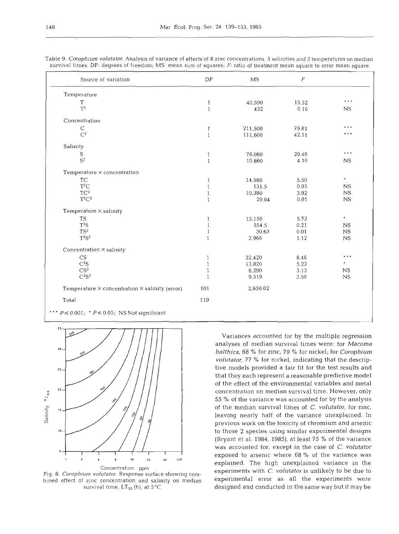| Source of variation                                                | DF           | MS       | $\mathcal{F}$ |                |
|--------------------------------------------------------------------|--------------|----------|---------------|----------------|
| Temperature                                                        |              |          |               |                |
| T                                                                  | $\mathbf{1}$ | 40,590   | 15.32         | $\cdots$       |
| $T^2$                                                              | $\mathbf{1}$ | 432      | 0.16          | NS             |
| Concentration                                                      |              |          |               |                |
| $\mathsf C$                                                        | $\mathbf{1}$ | 211,500  | 79.81         | .              |
| $\mathsf{C}^2$                                                     | $\mathbf{1}$ | 111,600  | 42.11         | .              |
| Salinity                                                           |              |          |               |                |
| $\mathbf S$                                                        | $\mathbf{1}$ | 78,080   | 29.46         | .              |
| S <sup>2</sup>                                                     | $\mathbf{1}$ | 10,860   | 4.10          | $_{\rm NS}$    |
| ${\bf Temperature}\times {\bf concentration}$                      |              |          |               |                |
| TC                                                                 | $\mathbf{1}$ | 14,580   | 5.50          | $\blacksquare$ |
| $T^2C$                                                             | $\mathbf{1}$ | 131.5    | 0.05          | NS             |
| $TC^2$                                                             | 1            | 10,380   | 3.92          | $_{\rm NS}$    |
| $T^2C^2$                                                           | $\mathbf{1}$ | 20.04    | 0.01          | $_{\rm NS}$    |
| Temperature $\times$ salinity                                      |              |          |               |                |
| TS                                                                 | $\mathbf{1}$ | 15,150   | 5.72          | $\bullet$      |
| $T^2S$                                                             | $\mathbf{1}$ | 554.5    | 0.21          | $_{\rm NS}$    |
| TS <sup>2</sup>                                                    | $\mathbf{1}$ | 30.67    | 0.01          | $_{\rm NS}$    |
| $T^2S^2$                                                           | $\mathbf{1}$ | 2,966    | 1.12          | $_{\rm NS}$    |
| Concentration × salinity                                           |              |          |               |                |
| $\mathbb{C}\mathsf{S}$                                             | $\mathbf{1}$ | 22,420   | 8.46          | $\cdots$       |
| C <sup>2</sup> S                                                   | $\mathbf{1}$ | 13,820   | 5.22          | $\cdot$        |
| CS <sup>2</sup>                                                    | $\mathbf{1}$ | 8,290    | 3.13          | NS             |
| $C^2S^2$                                                           | $\mathbf{1}$ | 9,519    | 3.59          | $_{\rm NS}$    |
| Temperature $\times$ concentration $\times$ salinity (error)       | 101          | 2,650.02 |               |                |
| Total                                                              | 119          |          |               |                |
| $\cdots$ P $\leq$ 0.001; $\cdot$ P $\leq$ 0.05; NS Not significant |              |          |               |                |

Table 9. *Corophium volutator.* Analysis of variance of effects of 8 zinc concentrations, 5 salinities and 3 temperatures on median survival times. DF: degrees of freedom; MS: mean sum of squares;  $F:$  ratio of treatment mean square to error mean square



bined effect of zinc concentration and salinity on median experimental error as all the experiments were

Variances accounted for by the multiple regression analyses of median survival times were: for *Macoma balthica,* 88 % for zinc, 79 % for nickel; for *Corophium volutator,* 77 % for nickel, indicating that the descriptive models provided a fair fit for the test results and that they each represent a reasonable predictive model of the effect of the environmental variables and metal concentration on median survival time. However, only 55 % of the variance was accounted for by the analysis of the median survival times of *C. volutator,* for zinc, leaving nearly half of the variance unexplained. In previous work on the toxicity of chromium and arsenic to these 2 species using similar experimental designs (Bryant et al. 1984, 1985), at least 75 % of the variance was accounted for, except in the case of C. *volutator*  III<sup>I</sup>EXposed to arsenic where 68 % of the variance was<br><sup>16</sup> <sup>32</sup> <sup>64</sup> <sup>128</sup> *L* **16 rational The birth uncerplained unviance in the** explained. The high unexplained variance in the Concentration ppm<br> **Explained variance in the concentration** ppm Fig. 8. *Corophium volutator.* Response surface showing com- experiments with C. *volutator* is unlikely to be due to survival time,  $LT_{50}$  (h), at  $5^{\circ}C$  designed and conducted in the same way but it may be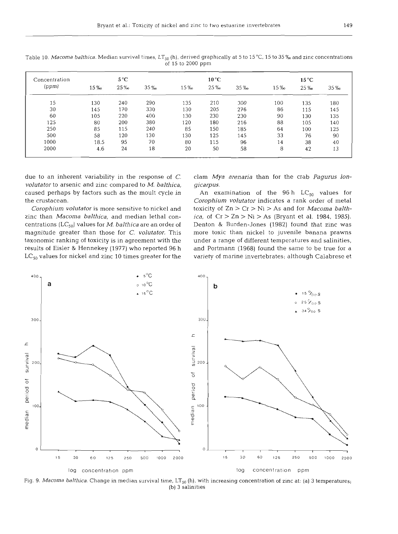|      | $5^{\circ}$ C |      |     | $10^{\circ}$ C |      | $15^{\circ}$ C |      |     |
|------|---------------|------|-----|----------------|------|----------------|------|-----|
| 15%  | 25%           | 35 ‰ | 15% | 25 ‰           | 35 ‰ | 15 ‰           | 25 ‰ | 35% |
| 130  | 240           | 290  | 135 | 210            | 300  | 100            | 135  | 180 |
| 145  | 170           | 330  | 130 | 205            | 276  | 86             | 115  | 145 |
| 105  | 220           | 400  | 130 | 230            | 230  | 90             | 130  | 135 |
| 80   | 200           | 380  | 120 | 180            | 216  | 88             | 105  | 140 |
| 85   | 115           | 240  | 85  | 150            | 185  | 64             | 100  | 125 |
| 58   | 120           | 130  | 130 | 125            | 145  | 33             | 76   | 90  |
| 18.5 | 95            | 70   | 80  | 115            | 96   | 14             | 38   | 40  |
| 4.6  | 24            | 18   | 20  | 50             | 58   | 8              | 42   | 13  |
|      |               |      |     |                |      |                |      |     |

Table 10. *Macoma balthica*. Median survival times, LT<sub>50</sub> (h), derived graphically at 5 to 15 °C, 15 to 35 ‰ and zinc concentrations of 15 to 2000 ppm

due to an inherent variability in the response of  $C$ . *volutator* to arsenic and zinc compared to *M. balthica,*  caused perhaps by factors such as the moult cycle in the crustacean.

*Corophium volutator* is more sensitive to nickel and zinc than *Macoma balthica,* and median lethal concentrations (LC<sub>50</sub>) values for *M. balthica* are an order of magnitude greater than those for C. *volutator.* This taxonomic ranking of toxicity is in agreement with the results of Eisler & Hennekey (1977) who reported 96 h  $LC_{50}$  values for nickel and zinc 10 times greater for the clam *Mya arenaria* than for the crab *Pagurus longicarpus.* 

An examination of the  $96 h$  LC<sub>50</sub> values for *Corophium volutator* indicates a rank order of metal toxicity of Zn > Cr > Ni > As and for *Macoma balthica*, of  $Cr > Zn > Ni > As$  (Bryant et al. 1984, 1985). Denton & Burden-Jones (1982) found that zinc was more toxic than nickel to juvenile banana prawns under a range of different temperatures and salinities, and Portmann (1968) found the same to be true for a variety of marine invertebrates; although Calabrese et



Fig. 9. *Macoma balthica*. Change in median survival time, LT<sub>50</sub> (h), with increasing concentration of zinc at: (a) 3 temperatures; (b) 3 salinities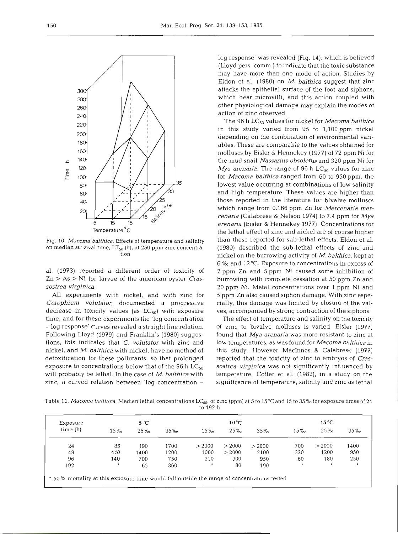

Fig. 10. *Macoma balthica*. Effects of temperature and salinity on median survival time,  $LT_{50}$  (h), at 250 ppm zinc concentration

al. (1973) reported a different order of toxicity of Zn > As > Ni for larvae of the american oyster *Crassostrea virginica.* 

All experiments with nickel, and with zinc for *Corophium volutator,* documented a progressive decrease in toxicity values (as  $LC_{50}$ ) with exposure time, and for these experiments the 'log concentration - log response' curves revealed a straight line relation. Following Lloyd (1979) and Franklin's (1980) suggestions, this indicates that *C. volutator* with zinc and nickel, and M. *balthica* with nickel, have no method of detoxification for these pollutants, so that prolonged exposure to concentrations below that of the 96 h  $LC_{50}$ will probably be lethal. In the case of *M. balthica* with zinc, a curved relation between 'log concentration -

log response' was revealed (Fig. 14), which is believed (Lloyd pers. comm.) to indicate that the toxic substance may have more than one mode of action. Studies by Eldon et al. (1980) on M. *balthica* suggest that zinc attacks the epithelia1 surface of the foot and siphons, which bear microvilli, and this action coupled with other physiological damage may explain the modes of action of zinc observed.

The 96 h LC<sub>50</sub> values for nickel for *Macoma balthica* in this study varied from 95 to 1,100 ppm nickel depending on the combination of environmental variables. These are comparable to the values obtained for molluscs by Eisler & Hennekey (1977) of 72 pprn Ni for the mud snail *Nassarius obsoletus* and 320 pprn Ni for  $Mya$  *arenaria*. The range of 96 h  $LC_{50}$  values for zinc for *Macoma balthica* ranged from 60 to 950 ppm, the lowest value occurring at combinations of low salinity and high temperature. These values are higher than those reported in the literature for bivalve molluscs which range from 0.166 pprn Zn for *Mercenaria mercenaria* (Calabrese & Nelson 1974) to 7.4 pprn for *Mya arenaria* (Eisler & Hennekey 1977). Concentrations for the lethal effect of zinc and nickel are of course higher than those reported for sub-lethal effects. Eldon et al. (1980) described the sub-lethal effects of zinc and nickel on the burrowing activity of M. *balthica,* kept at 6 **960** and 12 "C. Exposure to concentrations in excess of 2 ppm Zn and 5 ppm Ni caused some inhibition of burrowing with complete cessation at 50 ppm Zn and 20 ppm Ni. Metal concentrations over 1 ppm Ni and 5 pprn Zn also caused siphon damage. With zinc especially, this damage was limited by closure of the valves, accompanied by strong contraction of the siphons.

The effect of temperature and salinity on the toxicity of zinc to bivalve molluscs is varied. Eisler (1977) found that *Mya arenaria* was more resistant to zinc at low temperatures, as was found for *Macoma balthica* in this study. However MacInnes & Calabrese (1977) reported that the toxicity of zinc to embryos of *Crassostrea virginica* was not significantly influenced by temperature. Cotter et al. (1982), in a study on the significance of temperature, salinity and zinc as lethal

Table 11. *Macoma balthica*. Median lethal concentrations LC<sub>50</sub>, of zinc (ppm) at 5 to 15 °C and 15 to 35 % for exposure times of 24 to 192 h

| Exposure |        | $5^{\circ}$ C |      |        | $10^{\circ}$ C |        | $15^{\circ}$ C |        |           |  |
|----------|--------|---------------|------|--------|----------------|--------|----------------|--------|-----------|--|
| time(h)  | $15\%$ | 25%           | 35%  | 15 ‰   | 25%            | 35%    | 15%            | 25 ‰   | $35\%$    |  |
| 24       | 85     | 190           | 1700 | > 2000 | > 2000         | > 2000 | 700            | > 2000 | 1400      |  |
| 48       | 440    | 1400          | 1200 | 1000   | > 2000         | 2100   | 320            | 1200   | 950       |  |
| 96       | 140    | 700           | 750  | 210    | 900            | 950    | 60             | 180    | 250       |  |
| 192      | ٠      | 65            | 360  |        | 80             | 190    | ٠              |        | $\bullet$ |  |
|          |        |               |      |        |                |        |                |        |           |  |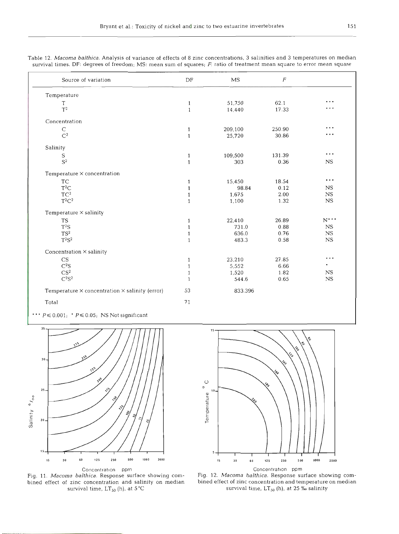| Source of variation                | DF           | MS      | F      |                       |
|------------------------------------|--------------|---------|--------|-----------------------|
| Temperature                        |              |         |        |                       |
| T                                  | 1            | 51,750  | 62.1   | $\cdots$              |
| $T^2$                              | $\mathbf{1}$ | 14,440  | 17.33  | .                     |
| Concentration                      |              |         |        |                       |
| С                                  | 1            | 209,100 | 250.90 | .                     |
| $\mathbb{C}^2$                     | $\mathbf{1}$ | 25,720  | 30.86  | $\cdots$              |
| Salinity                           |              |         |        |                       |
| S                                  | $\mathbf{1}$ | 109,500 | 131.39 | .                     |
| $S^2$                              | $\mathbf{1}$ | 303     | 0.36   | NS                    |
| Temperature $\times$ concentration |              |         |        |                       |
| TC                                 | 1            | 15,450  | 18.54  | $\cdots$              |
| $\mathbb{T}^2\mathbb{C}$           | $\mathbf{1}$ | 98.84   | 0.12   | NS.                   |
| $TC^2$                             | $\mathbf{1}$ | 1,675   | 2.00   | $_{\rm NS}$           |
| $T^2C^2$                           | $\mathbf{1}$ | 1,100   | 1.32   | NS                    |
| Temperature $\times$ salinity      |              |         |        |                       |
| <b>TS</b>                          | 1            | 22,410  | 26.89  | $_{\mathrm{N}}\cdots$ |
| $T^2S$                             | $\mathbf{1}$ | 731.0   | 0.88   | $_{\rm NS}$           |
| $TS^2$                             | $\mathbf{1}$ | 636.0   | 0.76   | NS.                   |
| $T^2S^2$                           | $\mathbf{1}$ | 483.3   | 0.58   | NS                    |
| Concentration × salinity           |              |         |        |                       |
| CS                                 | 1            | 23,210  | 27.85  | $\cdots$              |
| C <sup>2</sup> S                   | $\mathbf{1}$ | 5,552   | 6.66   |                       |
| CS <sup>2</sup>                    |              | 1,520   | 1.82   | $_{NS}$               |

 $\mathbf{1}$ 53

71

544.6

833.396

Table **12.** *Macorna balthica.* Analysis of variance of effects of 8 zinc concentrations, 3 salinities and 3 temperatures on median survival times. DF: degrees of freedom; MS: mean sum of squares; *F:* ratio of treatment mean square to error mean square

 $\cdots$   $P \le 0.001$ ;  $\cdot$   $P \le 0.05$ ; NS Not significant

Temperature **X** concentration X salinity (error)

 $C^2S^2$ 

Tota



bined effect of zinc concentration and salinity on median survival time,  $LT_{50}$  (h), at  $5^{\circ}C$ 



0.65

Concentration ppm<br>Ithica. Response surface showing com-<br>Ithica. Response surface showing com-<br>Ithica. Response surface showing com-Fig. **11.** *Macorna balthica.* Response surface showing com- Fig. *12. Macoma balthica.* Response surface showing comsurvival time, LT<sub>50</sub> (h), at 25 ‰ salinity

 $_{\rm NS}$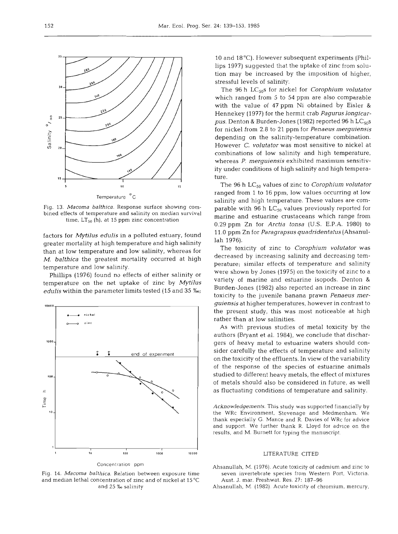

greater mortality at high temperature and high salinity<br>then at law temperature and law salinity whereas for a line toxicity of zinc to Corophium volutator was than at low temperature and low salinity, whereas for the toxicity of zinc to *Corophium volutator* was<br>M. haltbigs the greatest metality occurred at high decreased by increasing salinity and decreasing tem-*M. balthica* the greatest mortality occurred at high

Phillips (1976) found no effects of either salinity or temperature on the net uptake of zinc by *Mytilus* variety of marine and estuarine isopods. Denton &<br>adults within the neremater limits tested (15 and 25 %). Burden-Jones (1982) also reported an increase in zinc



Fig. 14. *Macoma balthica.* Relation between exposure time and median lethal concentration of zinc and of nickel at 15°C and 25 %o salinity

10 and 18°C). However subsequent experiments (Phillips 1977) suggested that the uptake of zinc from solution may be increased by the imposition of higher, stressful levels of salinity.

The 96 h LC<sub>50</sub>s for nickel for *Corophium volutator* which ranged from 5 to 54 ppm are also comparable with the value of 47 ppm Ni obtained by Eisler & Hennekey (1977) for the hermit crab Pagurus longicar-**0** . *pus.* Denton & Burden-Jones (1982) reported 96 h LC5,s for nickel from 2.8 to 21 ppm for *Penaeus merguiensis* depending on the salinity-temperature combination. However C. *volutator* was most sensitive to nickel at combinations of low salinity and high temperature, whereas P. *merguiensis* exhibited maximum sensitivity under conditions of high salinity and high temperature.

10 15 15 **115 <b>115 115 115 115 115 116 116 116 116 116 116 116 116 116 116 116 116 116 116 116 116 116 116 116 116 116 116 116 116 116 116 116 116 116 116** ranged from 1 to 16 ppm, low values occurring at low<br>salinity and high temperature. These values are com-Fig. 13. Macoma balthica. Response surface showing com-<br>bined effects of temperature and salinity on median survival<br>time,  $LT_{50}$  (h), at 15 ppm zinc concentration<br>0.29 ppm Zn for Arctia tonsa (U.S. E.P.A. 1980) to factors for *Mytilus edulis* in a polluted estuary, found 11.0 ppm Zn for *Paragrapsus quadridentatus* (Ahsanul-<br>
lah 1976).

temperature and low salinity.<br>  $\frac{1}{11}$  berature; similar effects of temperature and salinity<br>
were shown by Jones (1975) on the toxicity of zinc to a *edulis* within the parameter limits tested (15 and 35 %;<br>toxicity to the juvenile banana prawn *Penaeus merguiensis* at higher temperatures, however in contrast to the present study, this was most noticeable at high rather than at low salinities.

> As with previous studies of metal toxicity by the authors (Bryant et al. 1984), we conclude that dischargers of heavy metal to estuarine waters should consider carefully the effects of temperature and salinity on the toxicity of the effluents. In view of the variability of the response of the species of estuarine animals studied to different heavy metals, the effect of mixtures of metals should also be considered in future, as well as fluctuating conditions of temperature and salinity.

> *Acknowledgements.* This study was supported financially by the WRc Environment, Stevenage and Medmenham. We thank especially G. Mance and R. Davies of WRc for advice and support. We further thank R. Lloyd for advice on the results, and M. Burnett for typing the manuscript.

## LITERATURE **CITED**

- Ahsanullah, M. (1976). Acute toxicity of cadmium and zinc to seven invertebrate species from Western Port. Victoria. Aust. J. mar. Freshwat. Res. 27: 187-96
- AhsanulIah, M. (1982). Acute toxicity of chromium, mercury,